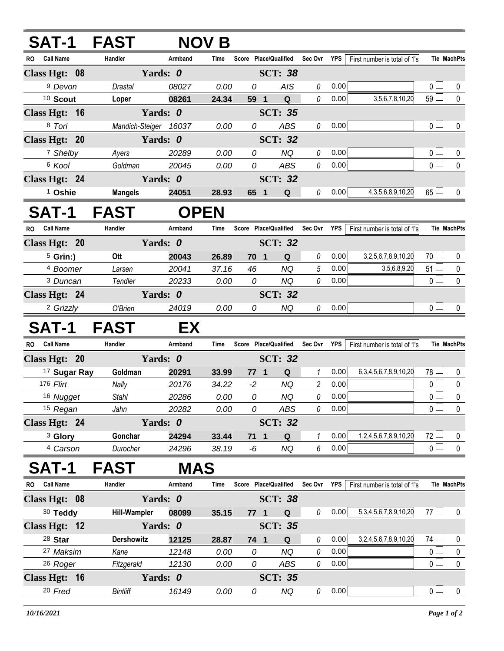|           | <b>SAT-1</b>         | FAST                  |             | <b>NOV B</b> |                       |                |                |      |                                |                 |                    |
|-----------|----------------------|-----------------------|-------------|--------------|-----------------------|----------------|----------------|------|--------------------------------|-----------------|--------------------|
|           | RO Call Name         | Handler               | Armband     | Time         | Score Place/Qualified |                | Sec Ovr        | YPS  | First number is total of 1's   |                 | <b>Tie MachPts</b> |
|           | Class Hgt: 08        |                       | Yards: 0    |              |                       | <b>SCT: 38</b> |                |      |                                |                 |                    |
|           | <sup>9</sup> Devon   | Drastal               | 08027       | 0.00         | 0                     | <b>AIS</b>     | 0              | 0.00 |                                | 0 <sub>1</sub>  | 0                  |
|           | <sup>10</sup> Scout  | Loper                 | 08261       | 24.34        | 59 1                  | $\mathbf Q$    | 0              | 0.00 | 3,5,6,7,8,10,20                | 59              | $\mathbf 0$        |
|           | Class Hgt: 16        |                       | Yards: 0    |              |                       | <b>SCT: 35</b> |                |      |                                |                 |                    |
|           | 8 Tori               | Mandich-Steiger 16037 |             | 0.00         | 0                     | ABS            | 0              | 0.00 |                                | 0 <sub>1</sub>  | 0                  |
|           | Class Hgt: 20        |                       | Yards: 0    |              |                       | <b>SCT: 32</b> |                |      |                                |                 |                    |
|           | 7 Shelby             | Ayers                 | 20289       | 0.00         | 0                     | <b>NQ</b>      | 0              | 0.00 |                                | 0 <sub>1</sub>  | 0                  |
|           | <sup>6</sup> Kool    | Goldman               | 20045       | 0.00         | 0                     | ABS            | 0              | 0.00 |                                | $_0 \sqcup$     | $\pmb{0}$          |
|           | Class Hgt: 24        |                       | Yards: 0    |              | <b>SCT: 32</b>        |                |                |      |                                |                 |                    |
|           | <sup>1</sup> Oshie   | <b>Mangels</b>        | 24051       | 28.93        | 65 1                  | Q              | 0              | 0.00 | 4, 3, 5, 6, 8, 9, 10, 20       | $65\Box$        | 0                  |
|           | SAT-1                | <b>FAST</b>           | <b>OPEN</b> |              |                       |                |                |      |                                |                 |                    |
| <b>RO</b> | <b>Call Name</b>     | Handler               | Armband     | Time         | Score Place/Qualified |                | Sec Ovr        | YPS  | First number is total of 1's   |                 | <b>Tie MachPts</b> |
|           | Class Hgt: 20        |                       | Yards: 0    |              |                       | <b>SCT: 32</b> |                |      |                                |                 |                    |
|           | $5$ Grin:)           | Ott                   | 20043       | 26.89        | 70 1                  | ${\bf Q}$      | 0              | 0.00 | 3,2,5,6,7,8,9,10,20            | 70 <sub>1</sub> | 0                  |
|           | 4 Boomer             | Larsen                | 20041       | 37.16        | 46                    | <b>NQ</b>      | 5              | 0.00 | 3,5,6,8,9,20                   | $51 \Box$       | 0                  |
|           | <sup>3</sup> Duncan  | Tendler               | 20233       | 0.00         | 0                     | <b>NQ</b>      | 0              | 0.00 |                                | 0 <sup>1</sup>  | $\mathbf 0$        |
|           | Class Hgt: 24        |                       | Yards: 0    |              |                       | <b>SCT: 32</b> |                |      |                                |                 |                    |
|           | <sup>2</sup> Grizzly | O'Brien               | 24019       | 0.00         | 0                     | NQ             | 0              | 0.00 |                                | 0 <sub>1</sub>  | 0                  |
|           | <b>SAT-1</b>         | <b>FAST</b>           | EX          |              |                       |                |                |      |                                |                 |                    |
| RO.       | <b>Call Name</b>     | Handler               | Armband     | Time         | Score Place/Qualified |                | Sec Ovr        | YPS  | First number is total of 1's   |                 | <b>Tie MachPts</b> |
|           | Class Hgt: 20        |                       |             |              |                       |                |                |      |                                |                 |                    |
|           |                      |                       | Yards: 0    |              |                       | <b>SCT: 32</b> |                |      |                                |                 |                    |
|           | 17 Sugar Ray         | Goldman               | 20291       | 33.99        | $771$                 | Q              | 1              | 0.00 | 6, 3, 4, 5, 6, 7, 8, 9, 10, 20 | $78 -$          | 0                  |
|           | 176 Flirt            | Nally                 | 20176       | 34.22        | $-2$                  | <b>NQ</b>      | $\overline{c}$ | 0.00 |                                | 0 <sub>0</sub>  | $\pmb{0}$          |
|           | 16 Nugget            | Stahl                 | 20286       | 0.00         | 0                     | <b>NQ</b>      | 0              | 0.00 |                                | 0               | $\mathbf 0$        |
|           | 15 Regan             | Jahn                  | 20282       | 0.00         | 0                     | ABS            | 0              | 0.00 |                                | 0 <sub>0</sub>  | $\mathbf 0$        |
|           | Class Hgt: 24        |                       | Yards: 0    |              |                       | <b>SCT: 32</b> |                |      |                                |                 |                    |
|           | <sup>3</sup> Glory   | Gonchar               | 24294       | 33.44        | $71 \quad 1$          | Q              | 1              | 0.00 | 1,2,4,5,6,7,8,9,10,20          | $72$ $-$        | $\mathbf 0$        |
|           | <sup>4</sup> Carson  | Durocher              | 24296       | 38.19        | -6                    | NQ             | 6              | 0.00 |                                | 0 <sub>0</sub>  | $\mathbf 0$        |
|           | <b>SAT-1</b>         | <b>FAST</b>           | <b>MAS</b>  |              |                       |                |                |      |                                |                 |                    |
| RO.       | <b>Call Name</b>     | Handler               | Armband     | Time         | Score Place/Qualified |                | Sec Ovr YPS    |      | First number is total of 1's   |                 | Tie MachPts        |
|           | Class Hgt: 08        |                       | Yards: 0    |              |                       | <b>SCT: 38</b> |                |      |                                |                 |                    |
|           | 30 Teddy             | <b>Hill-Wampler</b>   | 08099       | 35.15        | $77 1$                | <b>Q</b>       | 0              | 0.00 | 5, 3, 4, 5, 6, 7, 8, 9, 10, 20 | 77 $\Box$       | $\mathbf 0$        |
|           | Class Hgt: 12        |                       | Yards: 0    |              |                       | <b>SCT: 35</b> |                |      |                                |                 |                    |
|           | 28 Star              | <b>Dershowitz</b>     | 12125       | 28.87        | 74 1                  | Q              | 0              | 0.00 | 3,2,4,5,6,7,8,9,10,20          | $74$ $\Box$     | 0                  |
|           | 27 Maksim            | Kane                  | 12148       | 0.00         | 0                     | <b>NQ</b>      | 0              | 0.00 |                                | 0 <sub>0</sub>  | $\pmb{0}$          |
|           | <sup>26</sup> Roger  | Fitzgerald            | 12130       | 0.00         | 0                     | ABS            | 0              | 0.00 |                                | $\overline{0}$  | $\pmb{0}$          |
|           | Class Hgt: 16        |                       | Yards: 0    |              |                       | <b>SCT: 35</b> |                |      |                                |                 |                    |